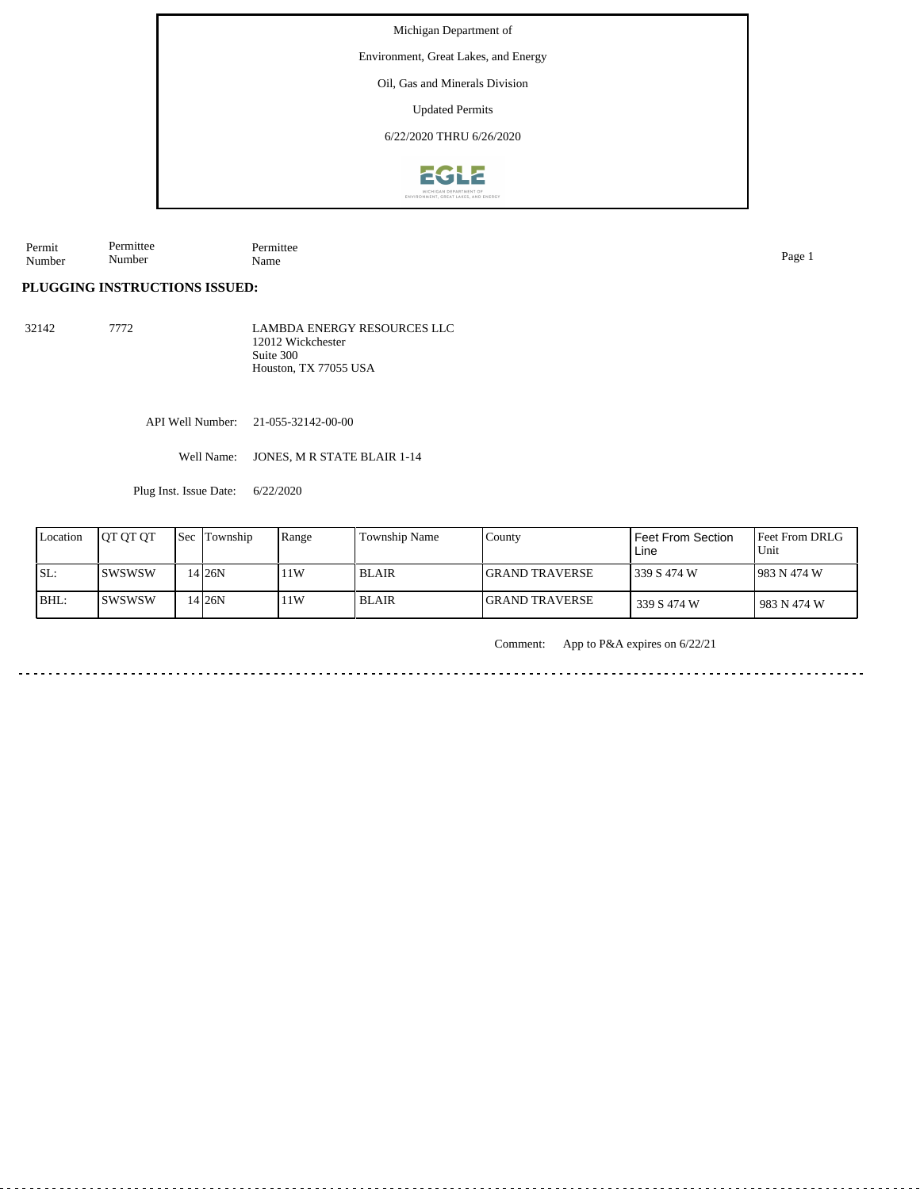Michigan Department of

Environment, Great Lakes, and Energy

Oil, Gas and Minerals Division

Updated Permits

6/22/2020 THRU 6/26/2020



Permit Number Permittee Number Permittee Name Page 1

**PLUGGING INSTRUCTIONS ISSUED:**

32142 7772 LAMBDA ENERGY RESOURCES LLC 12012 Wickchester Suite 300 Houston, TX 77055 USA

API Well Number: 21-055-32142-00-00

Well Name: JONES, M R STATE BLAIR 1-14

Plug Inst. Issue Date: 6/22/2020

| Location | <b>IOT OT OT</b> | Sec | Township | Range | Township Name | County                 | <b>Feet From Section</b><br>Line | <b>IFeet From DRLG</b><br>Unit |
|----------|------------------|-----|----------|-------|---------------|------------------------|----------------------------------|--------------------------------|
| SL:      | ISWSWSW          |     | 4 26N    | 11W   | <b>BLAIR</b>  | <b>IGRAND TRAVERSE</b> | 339 S 474 W                      | 1983 N 474 W                   |
| BHL:     | <b>ISWSWSW</b>   |     | 4 26N    | 11W   | <b>BLAIR</b>  | <b>IGRAND TRAVERSE</b> | 339 S 474 W                      | 983 N 474 W                    |

Comment: App to P&A expires on 6/22/21